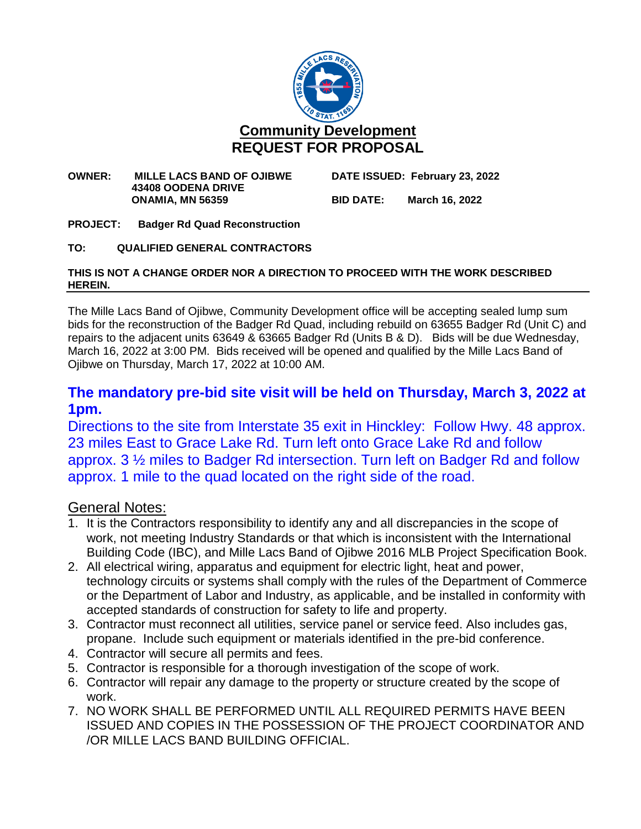

#### **OWNER: MILLE LACS BAND OF OJIBWE DATE ISSUED: February 23, 2022 43408 OODENA DRIVE ONAMIA, MN 56359 BID DATE: March 16, 2022**

**PROJECT: Badger Rd Quad Reconstruction**

**TO: QUALIFIED GENERAL CONTRACTORS**

#### **THIS IS NOT A CHANGE ORDER NOR A DIRECTION TO PROCEED WITH THE WORK DESCRIBED HEREIN.**

The Mille Lacs Band of Ojibwe, Community Development office will be accepting sealed lump sum bids for the reconstruction of the Badger Rd Quad, including rebuild on 63655 Badger Rd (Unit C) and repairs to the adjacent units 63649 & 63665 Badger Rd (Units B & D). Bids will be due Wednesday, March 16, 2022 at 3:00 PM. Bids received will be opened and qualified by the Mille Lacs Band of Ojibwe on Thursday, March 17, 2022 at 10:00 AM.

# **The mandatory pre-bid site visit will be held on Thursday, March 3, 2022 at 1pm.**

Directions to the site from Interstate 35 exit in Hinckley: Follow Hwy. 48 approx. 23 miles East to Grace Lake Rd. Turn left onto Grace Lake Rd and follow approx. 3 ½ miles to Badger Rd intersection. Turn left on Badger Rd and follow approx. 1 mile to the quad located on the right side of the road.

### General Notes:

- 1. It is the Contractors responsibility to identify any and all discrepancies in the scope of work, not meeting Industry Standards or that which is inconsistent with the International Building Code (IBC), and Mille Lacs Band of Ojibwe 2016 MLB Project Specification Book.
- 2. All electrical wiring, apparatus and equipment for electric light, heat and power, technology circuits or systems shall comply with the rules of the Department of Commerce or the Department of Labor and Industry, as applicable, and be installed in conformity with accepted standards of construction for safety to life and property.
- 3. Contractor must reconnect all utilities, service panel or service feed. Also includes gas, propane. Include such equipment or materials identified in the pre-bid conference.
- 4. Contractor will secure all permits and fees.
- 5. Contractor is responsible for a thorough investigation of the scope of work.
- 6. Contractor will repair any damage to the property or structure created by the scope of work.
- 7. NO WORK SHALL BE PERFORMED UNTIL ALL REQUIRED PERMITS HAVE BEEN ISSUED AND COPIES IN THE POSSESSION OF THE PROJECT COORDINATOR AND /OR MILLE LACS BAND BUILDING OFFICIAL.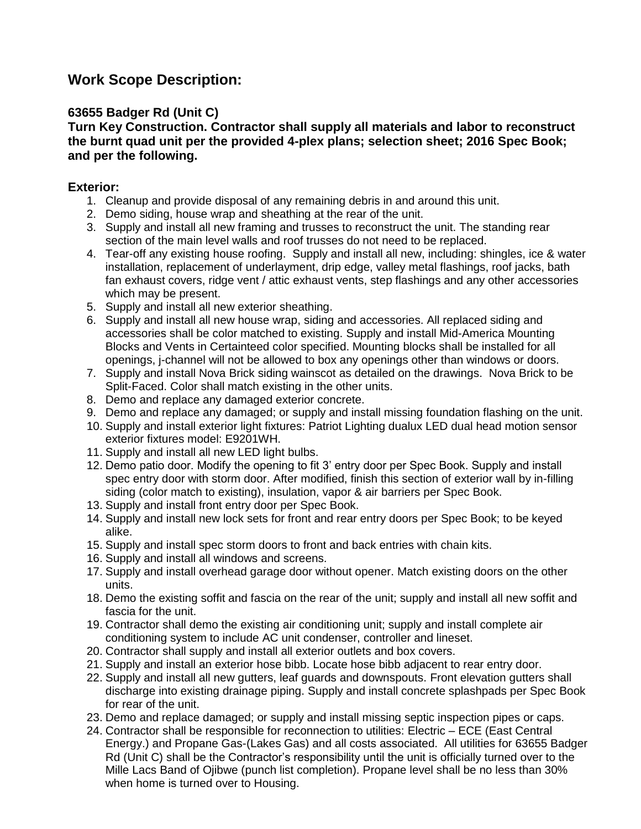# **Work Scope Description:**

### **63655 Badger Rd (Unit C)**

**Turn Key Construction. Contractor shall supply all materials and labor to reconstruct the burnt quad unit per the provided 4-plex plans; selection sheet; 2016 Spec Book; and per the following.**

### **Exterior:**

- 1. Cleanup and provide disposal of any remaining debris in and around this unit.
- 2. Demo siding, house wrap and sheathing at the rear of the unit.
- 3. Supply and install all new framing and trusses to reconstruct the unit. The standing rear section of the main level walls and roof trusses do not need to be replaced.
- 4. Tear-off any existing house roofing. Supply and install all new, including: shingles, ice & water installation, replacement of underlayment, drip edge, valley metal flashings, roof jacks, bath fan exhaust covers, ridge vent / attic exhaust vents, step flashings and any other accessories which may be present.
- 5. Supply and install all new exterior sheathing.
- 6. Supply and install all new house wrap, siding and accessories. All replaced siding and accessories shall be color matched to existing. Supply and install Mid-America Mounting Blocks and Vents in Certainteed color specified. Mounting blocks shall be installed for all openings, j-channel will not be allowed to box any openings other than windows or doors.
- 7. Supply and install Nova Brick siding wainscot as detailed on the drawings. Nova Brick to be Split-Faced. Color shall match existing in the other units.
- 8. Demo and replace any damaged exterior concrete.
- 9. Demo and replace any damaged; or supply and install missing foundation flashing on the unit.
- 10. Supply and install exterior light fixtures: Patriot Lighting dualux LED dual head motion sensor exterior fixtures model: E9201WH.
- 11. Supply and install all new LED light bulbs.
- 12. Demo patio door. Modify the opening to fit 3' entry door per Spec Book. Supply and install spec entry door with storm door. After modified, finish this section of exterior wall by in-filling siding (color match to existing), insulation, vapor & air barriers per Spec Book.
- 13. Supply and install front entry door per Spec Book.
- 14. Supply and install new lock sets for front and rear entry doors per Spec Book; to be keyed alike.
- 15. Supply and install spec storm doors to front and back entries with chain kits.
- 16. Supply and install all windows and screens.
- 17. Supply and install overhead garage door without opener. Match existing doors on the other units.
- 18. Demo the existing soffit and fascia on the rear of the unit; supply and install all new soffit and fascia for the unit.
- 19. Contractor shall demo the existing air conditioning unit; supply and install complete air conditioning system to include AC unit condenser, controller and lineset.
- 20. Contractor shall supply and install all exterior outlets and box covers.
- 21. Supply and install an exterior hose bibb. Locate hose bibb adjacent to rear entry door.
- 22. Supply and install all new gutters, leaf guards and downspouts. Front elevation gutters shall discharge into existing drainage piping. Supply and install concrete splashpads per Spec Book for rear of the unit.
- 23. Demo and replace damaged; or supply and install missing septic inspection pipes or caps.
- 24. Contractor shall be responsible for reconnection to utilities: Electric ECE (East Central Energy.) and Propane Gas-(Lakes Gas) and all costs associated. All utilities for 63655 Badger Rd (Unit C) shall be the Contractor's responsibility until the unit is officially turned over to the Mille Lacs Band of Ojibwe (punch list completion). Propane level shall be no less than 30% when home is turned over to Housing.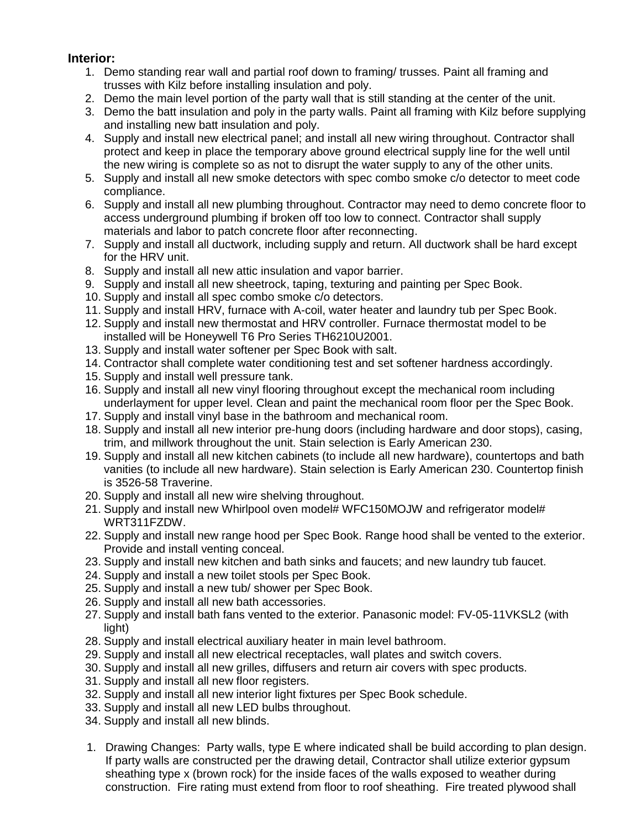### **Interior:**

- 1. Demo standing rear wall and partial roof down to framing/ trusses. Paint all framing and trusses with Kilz before installing insulation and poly.
- 2. Demo the main level portion of the party wall that is still standing at the center of the unit.
- 3. Demo the batt insulation and poly in the party walls. Paint all framing with Kilz before supplying and installing new batt insulation and poly.
- 4. Supply and install new electrical panel; and install all new wiring throughout. Contractor shall protect and keep in place the temporary above ground electrical supply line for the well until the new wiring is complete so as not to disrupt the water supply to any of the other units.
- 5. Supply and install all new smoke detectors with spec combo smoke c/o detector to meet code compliance.
- 6. Supply and install all new plumbing throughout. Contractor may need to demo concrete floor to access underground plumbing if broken off too low to connect. Contractor shall supply materials and labor to patch concrete floor after reconnecting.
- 7. Supply and install all ductwork, including supply and return. All ductwork shall be hard except for the HRV unit.
- 8. Supply and install all new attic insulation and vapor barrier.
- 9. Supply and install all new sheetrock, taping, texturing and painting per Spec Book.
- 10. Supply and install all spec combo smoke c/o detectors.
- 11. Supply and install HRV, furnace with A-coil, water heater and laundry tub per Spec Book.
- 12. Supply and install new thermostat and HRV controller. Furnace thermostat model to be installed will be Honeywell T6 Pro Series TH6210U2001.
- 13. Supply and install water softener per Spec Book with salt.
- 14. Contractor shall complete water conditioning test and set softener hardness accordingly.
- 15. Supply and install well pressure tank.
- 16. Supply and install all new vinyl flooring throughout except the mechanical room including underlayment for upper level. Clean and paint the mechanical room floor per the Spec Book.
- 17. Supply and install vinyl base in the bathroom and mechanical room.
- 18. Supply and install all new interior pre-hung doors (including hardware and door stops), casing, trim, and millwork throughout the unit. Stain selection is Early American 230.
- 19. Supply and install all new kitchen cabinets (to include all new hardware), countertops and bath vanities (to include all new hardware). Stain selection is Early American 230. Countertop finish is 3526-58 Traverine.
- 20. Supply and install all new wire shelving throughout.
- 21. Supply and install new Whirlpool oven model# WFC150MOJW and refrigerator model# WRT311FZDW.
- 22. Supply and install new range hood per Spec Book. Range hood shall be vented to the exterior. Provide and install venting conceal.
- 23. Supply and install new kitchen and bath sinks and faucets; and new laundry tub faucet.
- 24. Supply and install a new toilet stools per Spec Book.
- 25. Supply and install a new tub/ shower per Spec Book.
- 26. Supply and install all new bath accessories.
- 27. Supply and install bath fans vented to the exterior. Panasonic model: FV-05-11VKSL2 (with light)
- 28. Supply and install electrical auxiliary heater in main level bathroom.
- 29. Supply and install all new electrical receptacles, wall plates and switch covers.
- 30. Supply and install all new grilles, diffusers and return air covers with spec products.
- 31. Supply and install all new floor registers.
- 32. Supply and install all new interior light fixtures per Spec Book schedule.
- 33. Supply and install all new LED bulbs throughout.
- 34. Supply and install all new blinds.
- 1. Drawing Changes: Party walls, type E where indicated shall be build according to plan design. If party walls are constructed per the drawing detail, Contractor shall utilize exterior gypsum sheathing type x (brown rock) for the inside faces of the walls exposed to weather during construction. Fire rating must extend from floor to roof sheathing. Fire treated plywood shall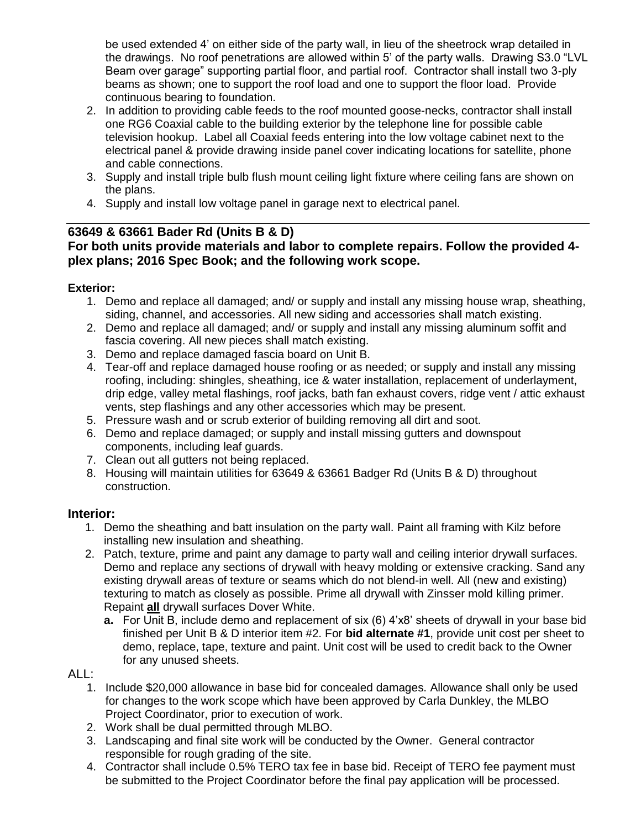be used extended 4' on either side of the party wall, in lieu of the sheetrock wrap detailed in the drawings. No roof penetrations are allowed within 5' of the party walls. Drawing S3.0 "LVL Beam over garage" supporting partial floor, and partial roof. Contractor shall install two 3-ply beams as shown; one to support the roof load and one to support the floor load. Provide continuous bearing to foundation.

- 2. In addition to providing cable feeds to the roof mounted goose-necks, contractor shall install one RG6 Coaxial cable to the building exterior by the telephone line for possible cable television hookup. Label all Coaxial feeds entering into the low voltage cabinet next to the electrical panel & provide drawing inside panel cover indicating locations for satellite, phone and cable connections.
- 3. Supply and install triple bulb flush mount ceiling light fixture where ceiling fans are shown on the plans.
- 4. Supply and install low voltage panel in garage next to electrical panel.

## **63649 & 63661 Bader Rd (Units B & D)**

### **For both units provide materials and labor to complete repairs. Follow the provided 4 plex plans; 2016 Spec Book; and the following work scope.**

### **Exterior:**

- 1. Demo and replace all damaged; and/ or supply and install any missing house wrap, sheathing, siding, channel, and accessories. All new siding and accessories shall match existing.
- 2. Demo and replace all damaged; and/ or supply and install any missing aluminum soffit and fascia covering. All new pieces shall match existing.
- 3. Demo and replace damaged fascia board on Unit B.
- 4. Tear-off and replace damaged house roofing or as needed; or supply and install any missing roofing, including: shingles, sheathing, ice & water installation, replacement of underlayment, drip edge, valley metal flashings, roof jacks, bath fan exhaust covers, ridge vent / attic exhaust vents, step flashings and any other accessories which may be present.
- 5. Pressure wash and or scrub exterior of building removing all dirt and soot.
- 6. Demo and replace damaged; or supply and install missing gutters and downspout components, including leaf guards.
- 7. Clean out all gutters not being replaced.
- 8. Housing will maintain utilities for 63649 & 63661 Badger Rd (Units B & D) throughout construction.

### **Interior:**

- 1. Demo the sheathing and batt insulation on the party wall. Paint all framing with Kilz before installing new insulation and sheathing.
- 2. Patch, texture, prime and paint any damage to party wall and ceiling interior drywall surfaces. Demo and replace any sections of drywall with heavy molding or extensive cracking. Sand any existing drywall areas of texture or seams which do not blend-in well. All (new and existing) texturing to match as closely as possible. Prime all drywall with Zinsser mold killing primer. Repaint **all** drywall surfaces Dover White.
	- **a.** For Unit B, include demo and replacement of six (6) 4'x8' sheets of drywall in your base bid finished per Unit B & D interior item #2. For **bid alternate #1**, provide unit cost per sheet to demo, replace, tape, texture and paint. Unit cost will be used to credit back to the Owner for any unused sheets.

#### ALL:

- 1. Include \$20,000 allowance in base bid for concealed damages. Allowance shall only be used for changes to the work scope which have been approved by Carla Dunkley, the MLBO Project Coordinator, prior to execution of work.
- 2. Work shall be dual permitted through MLBO.
- 3. Landscaping and final site work will be conducted by the Owner. General contractor responsible for rough grading of the site.
- 4. Contractor shall include 0.5% TERO tax fee in base bid. Receipt of TERO fee payment must be submitted to the Project Coordinator before the final pay application will be processed.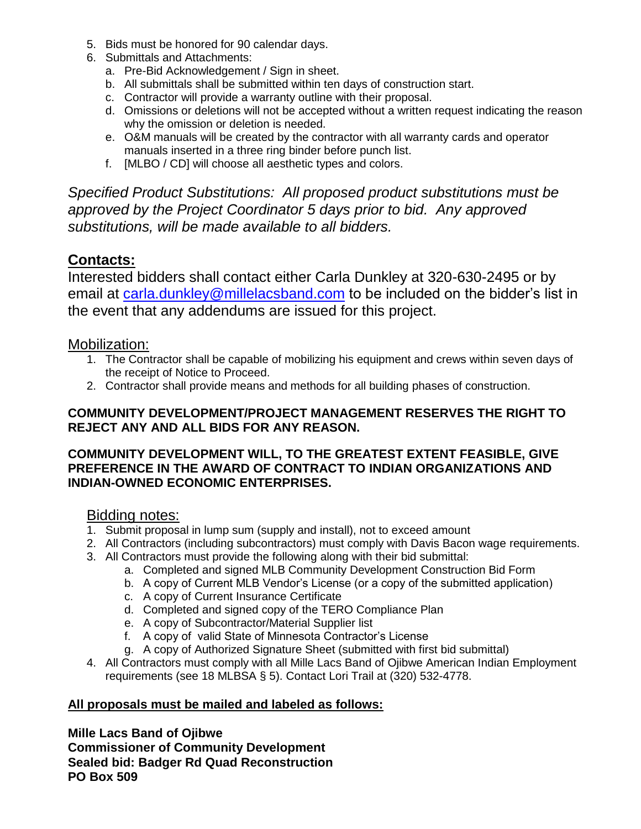- 5. Bids must be honored for 90 calendar days.
- 6. Submittals and Attachments:
	- a. Pre-Bid Acknowledgement / Sign in sheet.
	- b. All submittals shall be submitted within ten days of construction start.
	- c. Contractor will provide a warranty outline with their proposal.
	- d. Omissions or deletions will not be accepted without a written request indicating the reason why the omission or deletion is needed.
	- e. O&M manuals will be created by the contractor with all warranty cards and operator manuals inserted in a three ring binder before punch list.
	- f. [MLBO / CD] will choose all aesthetic types and colors.

*Specified Product Substitutions: All proposed product substitutions must be approved by the Project Coordinator 5 days prior to bid. Any approved substitutions, will be made available to all bidders.*

# **Contacts:**

Interested bidders shall contact either Carla Dunkley at 320-630-2495 or by email at [carla.dunkley@millelacsband.com](mailto:carla.dunkley@millelacsband.com) to be included on the bidder's list in the event that any addendums are issued for this project.

## Mobilization:

- 1. The Contractor shall be capable of mobilizing his equipment and crews within seven days of the receipt of Notice to Proceed.
- 2. Contractor shall provide means and methods for all building phases of construction.

### **COMMUNITY DEVELOPMENT/PROJECT MANAGEMENT RESERVES THE RIGHT TO REJECT ANY AND ALL BIDS FOR ANY REASON.**

### **COMMUNITY DEVELOPMENT WILL, TO THE GREATEST EXTENT FEASIBLE, GIVE PREFERENCE IN THE AWARD OF CONTRACT TO INDIAN ORGANIZATIONS AND INDIAN-OWNED ECONOMIC ENTERPRISES.**

## Bidding notes:

- 1. Submit proposal in lump sum (supply and install), not to exceed amount
- 2. All Contractors (including subcontractors) must comply with Davis Bacon wage requirements.
- 3. All Contractors must provide the following along with their bid submittal:
	- a. Completed and signed MLB Community Development Construction Bid Form
	- b. A copy of Current MLB Vendor's License (or a copy of the submitted application)
	- c. A copy of Current Insurance Certificate
	- d. Completed and signed copy of the TERO Compliance Plan
	- e. A copy of Subcontractor/Material Supplier list
	- f. A copy of valid State of Minnesota Contractor's License
	- g. A copy of Authorized Signature Sheet (submitted with first bid submittal)
- 4. All Contractors must comply with all Mille Lacs Band of Ojibwe American Indian Employment requirements (see 18 MLBSA § 5). Contact Lori Trail at (320) 532-4778.

### **All proposals must be mailed and labeled as follows:**

**Mille Lacs Band of Ojibwe Commissioner of Community Development Sealed bid: Badger Rd Quad Reconstruction PO Box 509**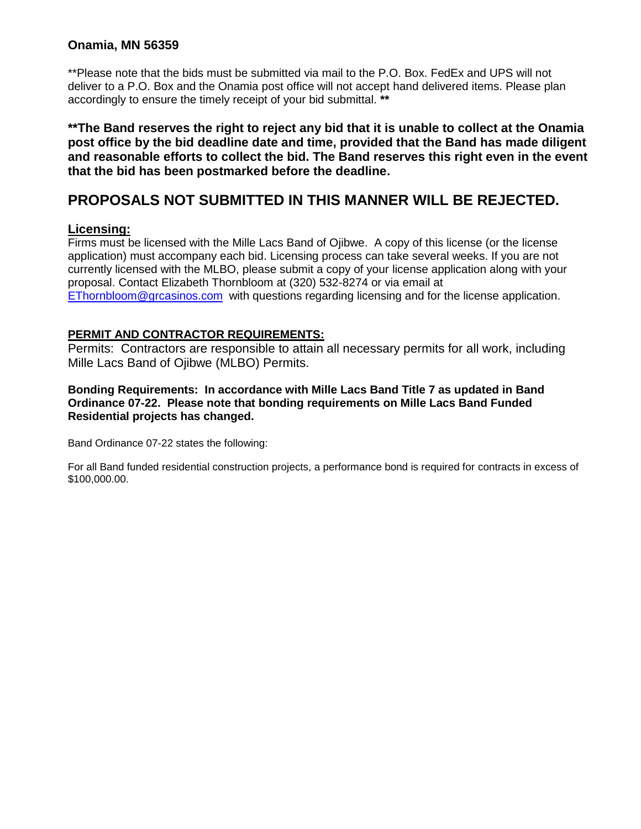### **Onamia, MN 56359**

\*\*Please note that the bids must be submitted via mail to the P.O. Box. FedEx and UPS will not deliver to a P.O. Box and the Onamia post office will not accept hand delivered items. Please plan accordingly to ensure the timely receipt of your bid submittal. **\*\***

**\*\*The Band reserves the right to reject any bid that it is unable to collect at the Onamia post office by the bid deadline date and time, provided that the Band has made diligent and reasonable efforts to collect the bid. The Band reserves this right even in the event that the bid has been postmarked before the deadline.**

# **PROPOSALS NOT SUBMITTED IN THIS MANNER WILL BE REJECTED.**

#### **Licensing:**

Firms must be licensed with the Mille Lacs Band of Ojibwe. A copy of this license (or the license application) must accompany each bid. Licensing process can take several weeks. If you are not currently licensed with the MLBO, please submit a copy of your license application along with your proposal. Contact Elizabeth Thornbloom at (320) 532-8274 or via email at [EThornbloom@grcasinos.com](mailto:EThornbloom@grcasinos.com) with questions regarding licensing and for the license application.

#### **PERMIT AND CONTRACTOR REQUIREMENTS:**

Permits: Contractors are responsible to attain all necessary permits for all work, including Mille Lacs Band of Ojibwe (MLBO) Permits.

#### **Bonding Requirements: In accordance with Mille Lacs Band Title 7 as updated in Band Ordinance 07-22. Please note that bonding requirements on Mille Lacs Band Funded Residential projects has changed.**

Band Ordinance 07-22 states the following:

For all Band funded residential construction projects, a performance bond is required for contracts in excess of \$100,000.00.